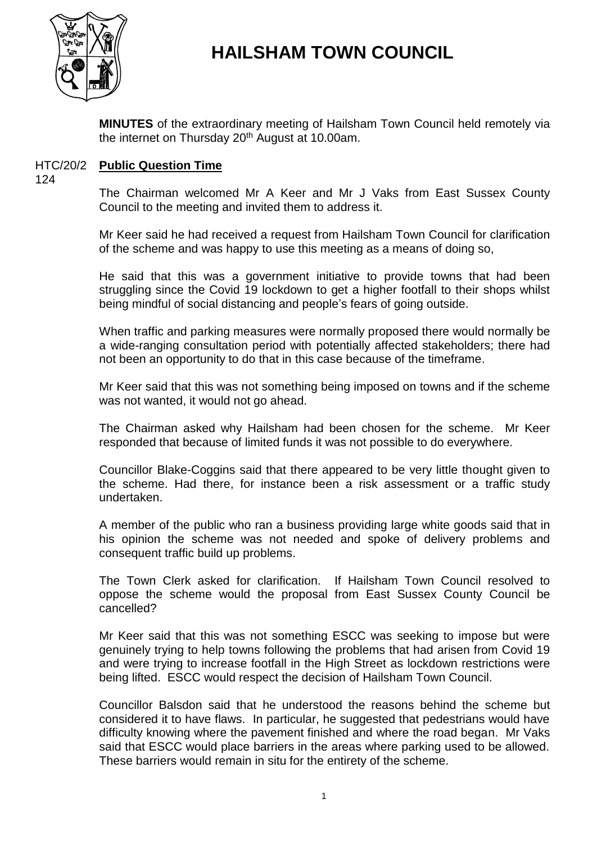

# **HAILSHAM TOWN COUNCIL**

**MINUTES** of the extraordinary meeting of Hailsham Town Council held remotely via the internet on Thursday  $20<sup>th</sup>$  August at 10.00am.

## HTC/20/2 **Public Question Time**

124

The Chairman welcomed Mr A Keer and Mr J Vaks from East Sussex County Council to the meeting and invited them to address it.

Mr Keer said he had received a request from Hailsham Town Council for clarification of the scheme and was happy to use this meeting as a means of doing so,

He said that this was a government initiative to provide towns that had been struggling since the Covid 19 lockdown to get a higher footfall to their shops whilst being mindful of social distancing and people's fears of going outside.

When traffic and parking measures were normally proposed there would normally be a wide-ranging consultation period with potentially affected stakeholders; there had not been an opportunity to do that in this case because of the timeframe.

Mr Keer said that this was not something being imposed on towns and if the scheme was not wanted, it would not go ahead.

The Chairman asked why Hailsham had been chosen for the scheme. Mr Keer responded that because of limited funds it was not possible to do everywhere.

Councillor Blake-Coggins said that there appeared to be very little thought given to the scheme. Had there, for instance been a risk assessment or a traffic study undertaken.

A member of the public who ran a business providing large white goods said that in his opinion the scheme was not needed and spoke of delivery problems and consequent traffic build up problems.

The Town Clerk asked for clarification. If Hailsham Town Council resolved to oppose the scheme would the proposal from East Sussex County Council be cancelled?

Mr Keer said that this was not something ESCC was seeking to impose but were genuinely trying to help towns following the problems that had arisen from Covid 19 and were trying to increase footfall in the High Street as lockdown restrictions were being lifted. ESCC would respect the decision of Hailsham Town Council.

Councillor Balsdon said that he understood the reasons behind the scheme but considered it to have flaws. In particular, he suggested that pedestrians would have difficulty knowing where the pavement finished and where the road began. Mr Vaks said that ESCC would place barriers in the areas where parking used to be allowed. These barriers would remain in situ for the entirety of the scheme.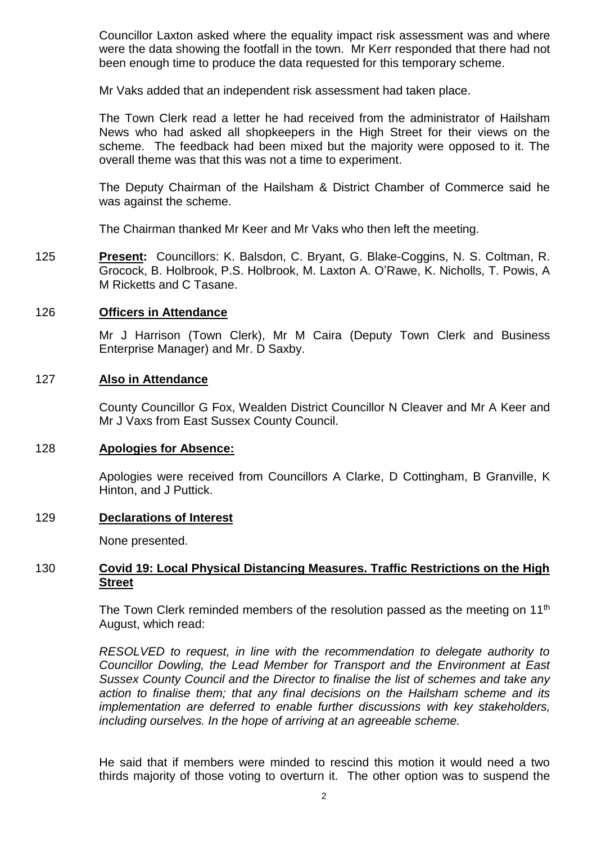Councillor Laxton asked where the equality impact risk assessment was and where were the data showing the footfall in the town. Mr Kerr responded that there had not been enough time to produce the data requested for this temporary scheme.

Mr Vaks added that an independent risk assessment had taken place.

The Town Clerk read a letter he had received from the administrator of Hailsham News who had asked all shopkeepers in the High Street for their views on the scheme. The feedback had been mixed but the majority were opposed to it. The overall theme was that this was not a time to experiment.

The Deputy Chairman of the Hailsham & District Chamber of Commerce said he was against the scheme.

The Chairman thanked Mr Keer and Mr Vaks who then left the meeting.

125 **Present:** Councillors: K. Balsdon, C. Bryant, G. Blake-Coggins, N. S. Coltman, R. Grocock, B. Holbrook, P.S. Holbrook, M. Laxton A. O'Rawe, K. Nicholls, T. Powis, A M Ricketts and C Tasane.

## 126 **Officers in Attendance**

Mr J Harrison (Town Clerk), Mr M Caira (Deputy Town Clerk and Business Enterprise Manager) and Mr. D Saxby.

#### 127 **Also in Attendance**

County Councillor G Fox, Wealden District Councillor N Cleaver and Mr A Keer and Mr J Vaxs from East Sussex County Council.

#### 128 **Apologies for Absence:**

Apologies were received from Councillors A Clarke, D Cottingham, B Granville, K Hinton, and J Puttick.

#### 129 **Declarations of Interest**

None presented.

## 130 **Covid 19: Local Physical Distancing Measures. Traffic Restrictions on the High Street**

The Town Clerk reminded members of the resolution passed as the meeting on  $11<sup>th</sup>$ August, which read:

*RESOLVED to request, in line with the recommendation to delegate authority to Councillor Dowling, the Lead Member for Transport and the Environment at East Sussex County Council and the Director to finalise the list of schemes and take any action to finalise them; that any final decisions on the Hailsham scheme and its implementation are deferred to enable further discussions with key stakeholders, including ourselves. In the hope of arriving at an agreeable scheme.*

He said that if members were minded to rescind this motion it would need a two thirds majority of those voting to overturn it. The other option was to suspend the